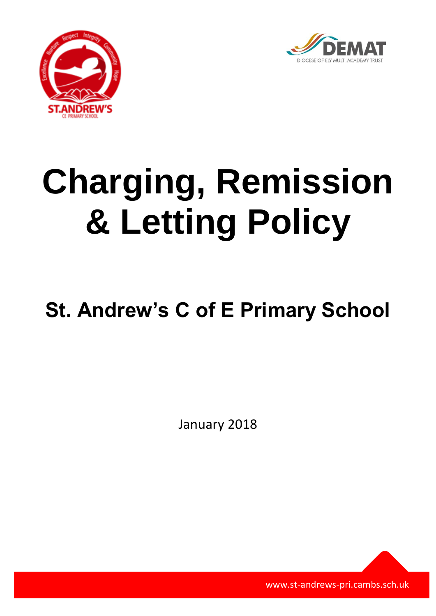



# **Charging, Remission & Letting Policy**

# **St. Andrew's C of E Primary School**

January 2018

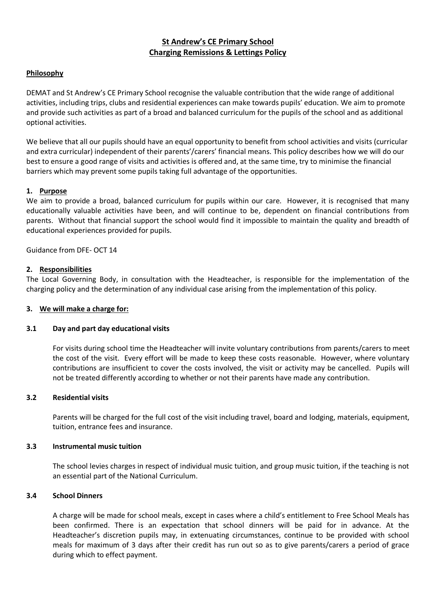# **St Andrew's CE Primary School Charging Remissions & Lettings Policy**

#### **Philosophy**

DEMAT and St Andrew's CE Primary School recognise the valuable contribution that the wide range of additional activities, including trips, clubs and residential experiences can make towards pupils' education. We aim to promote and provide such activities as part of a broad and balanced curriculum for the pupils of the school and as additional optional activities.

We believe that all our pupils should have an equal opportunity to benefit from school activities and visits (curricular and extra curricular) independent of their parents'/carers' financial means. This policy describes how we will do our best to ensure a good range of visits and activities is offered and, at the same time, try to minimise the financial barriers which may prevent some pupils taking full advantage of the opportunities.

#### **1. Purpose**

We aim to provide a broad, balanced curriculum for pupils within our care. However, it is recognised that many educationally valuable activities have been, and will continue to be, dependent on financial contributions from parents. Without that financial support the school would find it impossible to maintain the quality and breadth of educational experiences provided for pupils.

Guidance from DFE- OCT 14

#### **2. Responsibilities**

The Local Governing Body, in consultation with the Headteacher, is responsible for the implementation of the charging policy and the determination of any individual case arising from the implementation of this policy.

#### **3. We will make a charge for:**

#### **3.1 Day and part day educational visits**

For visits during school time the Headteacher will invite voluntary contributions from parents/carers to meet the cost of the visit. Every effort will be made to keep these costs reasonable. However, where voluntary contributions are insufficient to cover the costs involved, the visit or activity may be cancelled. Pupils will not be treated differently according to whether or not their parents have made any contribution.

#### **3.2 Residential visits**

Parents will be charged for the full cost of the visit including travel, board and lodging, materials, equipment, tuition, entrance fees and insurance.

#### **3.3 Instrumental music tuition**

The school levies charges in respect of individual music tuition, and group music tuition, if the teaching is not an essential part of the National Curriculum.

#### **3.4 School Dinners**

A charge will be made for school meals, except in cases where a child's entitlement to Free School Meals has been confirmed. There is an expectation that school dinners will be paid for in advance. At the Headteacher's discretion pupils may, in extenuating circumstances, continue to be provided with school meals for maximum of 3 days after their credit has run out so as to give parents/carers a period of grace during which to effect payment.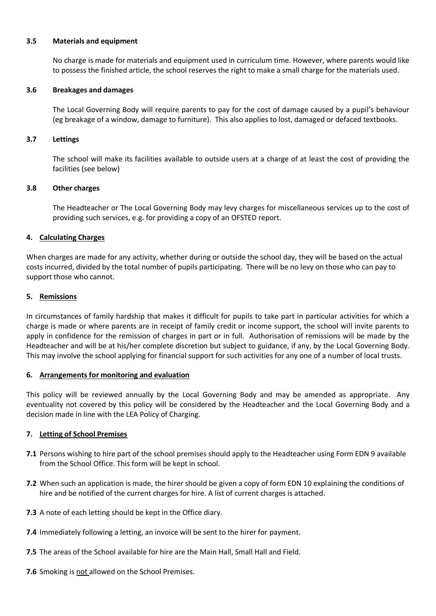#### **3.5 Materials and equipment**

No charge is made for materials and equipment used in curriculum time. However, where parents would like to possess the finished article, the school reserves the right to make a small charge for the materials used.

#### **3.6 Breakages and damages**

The Local Governing Body will require parents to pay for the cost of damage caused by a pupil's behaviour (eg breakage of a window, damage to furniture). This also applies to lost, damaged or defaced textbooks.

#### **3.7 Lettings**

The school will make its facilities available to outside users at a charge of at least the cost of providing the facilities (see below)

#### **3.8 Other charges**

The Headteacher or The Local Governing Body may levy charges for miscellaneous services up to the cost of providing such services, e.g. for providing a copy of an OFSTED report.

#### **4. Calculating Charges**

When charges are made for any activity, whether during or outside the school day, they will be based on the actual costs incurred, divided by the total number of pupils participating. There will be no levy on those who can pay to support those who cannot.

#### **5. Remissions**

In circumstances of family hardship that makes it difficult for pupils to take part in particular activities for which a charge is made or where parents are in receipt of family credit or income support, the school will invite parents to apply in confidence for the remission of charges in part or in full. Authorisation of remissions will be made by the Headteacher and will be at his/her complete discretion but subject to guidance, if any, by the Local Governing Body. This may involve the school applying for financial support for such activities for any one of a number of local trusts.

#### **6. Arrangements for monitoring and evaluation**

This policy will be reviewed annually by the Local Governing Body and may be amended as appropriate. Any eventuality not covered by this policy will be considered by the Headteacher and the Local Governing Body and a decision made in line with the LEA Policy of Charging.

#### **7. Letting of School Premises**

- **7.1** Persons wishing to hire part of the school premises should apply to the Headteacher using Form EDN 9 available from the School Office. This form will be kept in school.
- **7.2** When such an application is made, the hirer should be given a copy of form EDN 10 explaining the conditions of hire and be notified of the current charges for hire. A list of current charges is attached.
- **7.3** A note of each letting should be kept in the Office diary.
- **7.4** Immediately following a letting, an invoice will be sent to the hirer for payment.
- **7.5** The areas of the School available for hire are the Main Hall, Small Hall and Field.
- **7.6** Smoking is not allowed on the School Premises.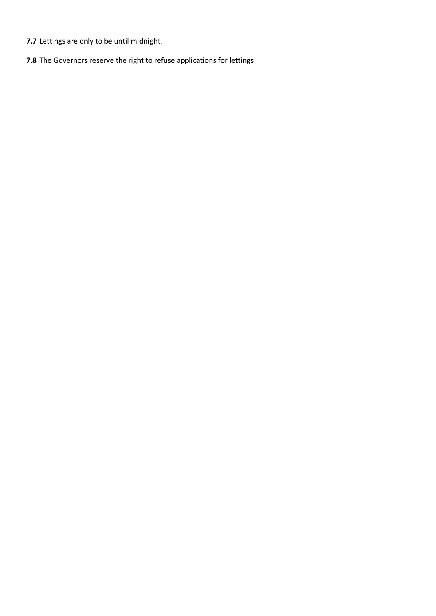- **7.7** Lettings are only to be until midnight.
- **7.8** The Governors reserve the right to refuse applications for lettings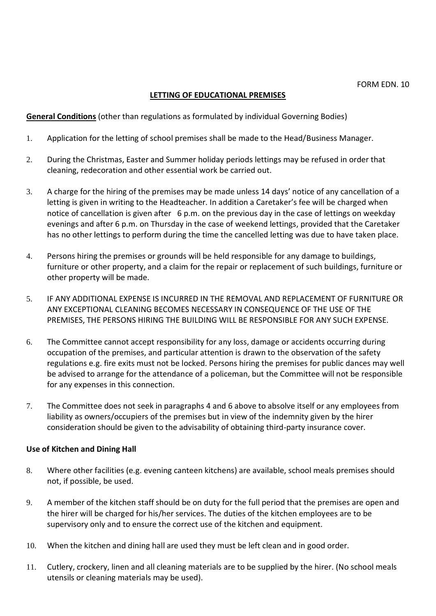# **LETTING OF EDUCATIONAL PREMISES**

**General Conditions** (other than regulations as formulated by individual Governing Bodies)

- 1. Application for the letting of school premises shall be made to the Head/Business Manager.
- 2. During the Christmas, Easter and Summer holiday periods lettings may be refused in order that cleaning, redecoration and other essential work be carried out.
- 3. A charge for the hiring of the premises may be made unless 14 days' notice of any cancellation of a letting is given in writing to the Headteacher. In addition a Caretaker's fee will be charged when notice of cancellation is given after 6 p.m. on the previous day in the case of lettings on weekday evenings and after 6 p.m. on Thursday in the case of weekend lettings, provided that the Caretaker has no other lettings to perform during the time the cancelled letting was due to have taken place.
- 4. Persons hiring the premises or grounds will be held responsible for any damage to buildings, furniture or other property, and a claim for the repair or replacement of such buildings, furniture or other property will be made.
- 5. IF ANY ADDITIONAL EXPENSE IS INCURRED IN THE REMOVAL AND REPLACEMENT OF FURNITURE OR ANY EXCEPTIONAL CLEANING BECOMES NECESSARY IN CONSEQUENCE OF THE USE OF THE PREMISES, THE PERSONS HIRING THE BUILDING WILL BE RESPONSIBLE FOR ANY SUCH EXPENSE.
- 6. The Committee cannot accept responsibility for any loss, damage or accidents occurring during occupation of the premises, and particular attention is drawn to the observation of the safety regulations e.g. fire exits must not be locked. Persons hiring the premises for public dances may well be advised to arrange for the attendance of a policeman, but the Committee will not be responsible for any expenses in this connection.
- 7. The Committee does not seek in paragraphs 4 and 6 above to absolve itself or any employees from liability as owners/occupiers of the premises but in view of the indemnity given by the hirer consideration should be given to the advisability of obtaining third-party insurance cover.

### **Use of Kitchen and Dining Hall**

- 8. Where other facilities (e.g. evening canteen kitchens) are available, school meals premises should not, if possible, be used.
- 9. A member of the kitchen staff should be on duty for the full period that the premises are open and the hirer will be charged for his/her services. The duties of the kitchen employees are to be supervisory only and to ensure the correct use of the kitchen and equipment.
- 10. When the kitchen and dining hall are used they must be left clean and in good order.
- 11. Cutlery, crockery, linen and all cleaning materials are to be supplied by the hirer. (No school meals utensils or cleaning materials may be used).